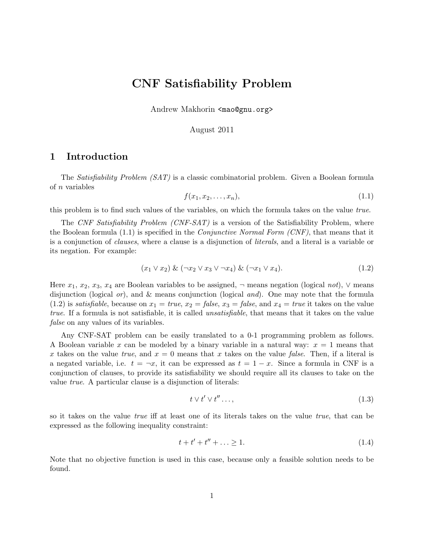# **CNF Satisfiability Problem**

Andrew Makhorin <mao@gnu.org>

August 2011

## **1 Introduction**

The *Satisfiability Problem (SAT)* is a classic combinatorial problem. Given a Boolean formula of *n* variables

$$
f(x_1, x_2, \ldots, x_n), \tag{1.1}
$$

this problem is to find such values of the variables, on which the formula takes on the value *true*.

The *CNF Satisfiability Problem (CNF-SAT)* is a version of the Satisfiability Problem, where the Boolean formula (1.1) is specified in the *Conjunctive Normal Form (CNF)*, that means that it is a conjunction of *clauses*, where a clause is a disjunction of *literals*, and a literal is a variable or its negation. For example:

$$
(x_1 \vee x_2) \& (\neg x_2 \vee x_3 \vee \neg x_4) \& (\neg x_1 \vee x_4). \tag{1.2}
$$

Here  $x_1, x_2, x_3, x_4$  are Boolean variables to be assigned,  $\neg$  means negation (logical *not*),  $\nvee$  means disjunction (logical *or*), and & means conjunction (logical *and*). One may note that the formula (1.2) is *satisfiable*, because on  $x_1 = true$ ,  $x_2 = false$ ,  $x_3 = false$ , and  $x_4 = true$  it takes on the value *true*. If a formula is not satisfiable, it is called *unsatisfiable*, that means that it takes on the value *false* on any values of its variables.

Any CNF-SAT problem can be easily translated to a 0-1 programming problem as follows. A Boolean variable *x* can be modeled by a binary variable in a natural way: *x* = 1 means that *x* takes on the value *true*, and  $x = 0$  means that *x* takes on the value *false*. Then, if a literal is a negated variable, i.e.  $t = \neg x$ , it can be expressed as  $t = 1 - x$ . Since a formula in CNF is a conjunction of clauses, to provide its satisfiability we should require all its clauses to take on the value *true*. A particular clause is a disjunction of literals:

$$
t \vee t' \vee t'' \dots,\tag{1.3}
$$

so it takes on the value *true* iff at least one of its literals takes on the value *true*, that can be expressed as the following inequality constraint:

$$
t + t' + t'' + \ldots \ge 1. \tag{1.4}
$$

Note that no objective function is used in this case, because only a feasible solution needs to be found.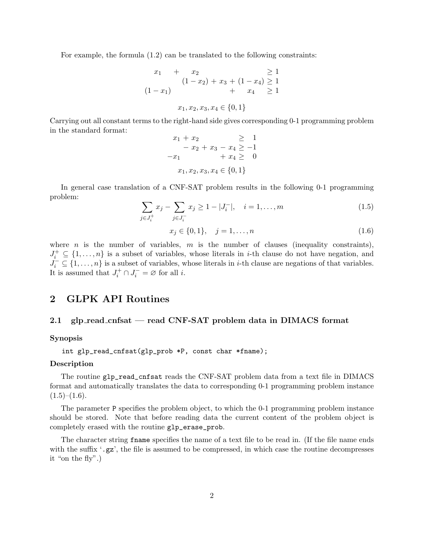For example, the formula (1.2) can be translated to the following constraints:

$$
x_1 + x_2 \ge 1
$$
  
\n
$$
(1 - x_2) + x_3 + (1 - x_4) \ge 1
$$
  
\n
$$
+ x_4 \ge 1
$$
  
\n
$$
x_1, x_2, x_3, x_4 \in \{0, 1\}
$$

Carrying out all constant terms to the right-hand side gives corresponding 0-1 programming problem in the standard format:

$$
x_1 + x_2 \ge 1
$$
  
- x<sub>2</sub> + x<sub>3</sub> - x<sub>4</sub>  $\ge -1$   
- x<sub>1</sub> + x<sub>4</sub>  $\ge 0$   
x<sub>1</sub>, x<sub>2</sub>, x<sub>3</sub>, x<sub>4</sub>  $\in$  {0, 1}

In general case translation of a CNF-SAT problem results in the following 0-1 programming problem:

$$
\sum_{j \in J_i^+} x_j - \sum_{j \in J_i^-} x_j \ge 1 - |J_i^-|, \quad i = 1, \dots, m
$$
\n(1.5)

$$
x_j \in \{0, 1\}, \quad j = 1, \dots, n \tag{1.6}
$$

where *n* is the number of variables, *m* is the number of clauses (inequality constraints),  $J_i^+ \subseteq \{1, \ldots, n\}$  is a subset of variables, whose literals in *i*-th clause do not have negation, and  $J_i^- \subseteq \{1, \ldots, n\}$  is a subset of variables, whose literals in *i*-th clause are negations of that variables. It is assumed that  $J_i^+ \cap J_i^- = \emptyset$  for all *i*.

# **2 GLPK API Routines**

## **2.1 glp read cnfsat — read CNF-SAT problem data in DIMACS format**

## **Synopsis**

int glp\_read\_cnfsat(glp\_prob \*P, const char \*fname);

#### **Description**

The routine glp\_read\_cnfsat reads the CNF-SAT problem data from a text file in DIMACS format and automatically translates the data to corresponding 0-1 programming problem instance  $(1.5)$ – $(1.6)$ .

The parameter P specifies the problem object, to which the 0-1 programming problem instance should be stored. Note that before reading data the current content of the problem object is completely erased with the routine glp\_erase\_prob.

The character string frame specifies the name of a text file to be read in. (If the file name ends with the suffix '.gz', the file is assumed to be compressed, in which case the routine decompresses it "on the fly".)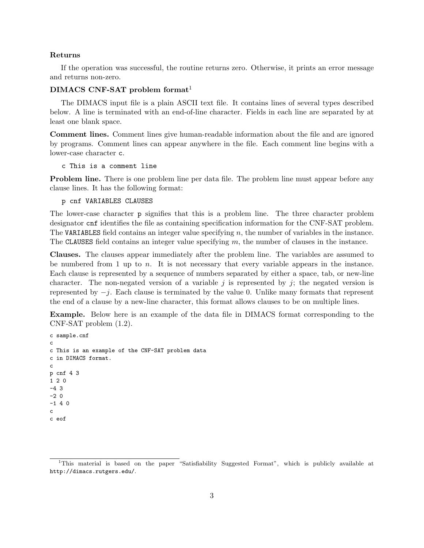#### **Returns**

If the operation was successful, the routine returns zero. Otherwise, it prints an error message and returns non-zero.

## **DIMACS CNF-SAT problem format**<sup>1</sup>

The DIMACS input file is a plain ASCII text file. It contains lines of several types described below. A line is terminated with an end-of-line character. Fields in each line are separated by at least one blank space.

**Comment lines.** Comment lines give human-readable information about the file and are ignored by programs. Comment lines can appear anywhere in the file. Each comment line begins with a lower-case character c.

c This is a comment line

**Problem line.** There is one problem line per data file. The problem line must appear before any clause lines. It has the following format:

p cnf VARIABLES CLAUSES

The lower-case character p signifies that this is a problem line. The three character problem designator cnf identifies the file as containing specification information for the CNF-SAT problem. The VARIABLES field contains an integer value specifying *n*, the number of variables in the instance. The CLAUSES field contains an integer value specifying *m*, the number of clauses in the instance.

**Clauses.** The clauses appear immediately after the problem line. The variables are assumed to be numbered from 1 up to *n*. It is not necessary that every variable appears in the instance. Each clause is represented by a sequence of numbers separated by either a space, tab, or new-line character. The non-negated version of a variable  $j$  is represented by  $j$ ; the negated version is represented by *−j*. Each clause is terminated by the value 0. Unlike many formats that represent the end of a clause by a new-line character, this format allows clauses to be on multiple lines.

**Example.** Below here is an example of the data file in DIMACS format corresponding to the CNF-SAT problem (1.2).

```
c sample.cnf
c
c This is an example of the CNF-SAT problem data
c in DIMACS format.
c
p cnf 4 3
1 2 0
-4 3
-2 0
-1 4 0
c
c eof
```
<sup>1</sup>This material is based on the paper "Satisfiability Suggested Format", which is publicly available at http://dimacs.rutgers.edu/.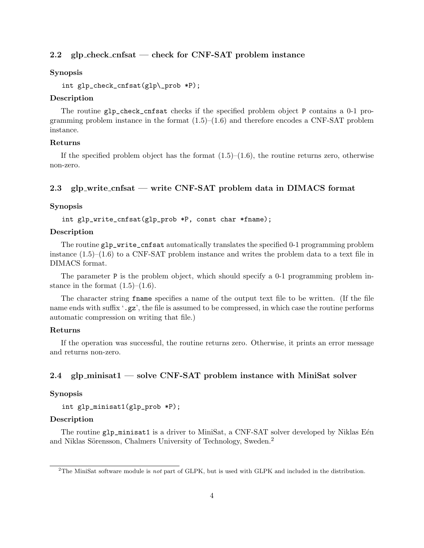## **2.2 glp check cnfsat — check for CNF-SAT problem instance**

## **Synopsis**

```
int glp_check_cnfsat(glp\_prob *P);
```
## **Description**

The routine glp\_check\_cnfsat checks if the specified problem object P contains a 0-1 programming problem instance in the format  $(1.5)$ – $(1.6)$  and therefore encodes a CNF-SAT problem instance.

#### **Returns**

If the specified problem object has the format  $(1.5)$ – $(1.6)$ , the routine returns zero, otherwise non-zero.

## **2.3 glp write cnfsat — write CNF-SAT problem data in DIMACS format**

#### **Synopsis**

int glp\_write\_cnfsat(glp\_prob \*P, const char \*fname);

## **Description**

The routine glp\_write\_cnfsat automatically translates the specified 0-1 programming problem instance  $(1.5)$ – $(1.6)$  to a CNF-SAT problem instance and writes the problem data to a text file in DIMACS format.

The parameter P is the problem object, which should specify a 0-1 programming problem instance in the format  $(1.5)$ – $(1.6)$ .

The character string fname specifies a name of the output text file to be written. (If the file name ends with suffix '.gz', the file is assumed to be compressed, in which case the routine performs automatic compression on writing that file.)

#### **Returns**

If the operation was successful, the routine returns zero. Otherwise, it prints an error message and returns non-zero.

## **2.4 glp minisat1 — solve CNF-SAT problem instance with MiniSat solver**

#### **Synopsis**

int glp\_minisat1(glp\_prob \*P);

#### **Description**

The routine glp\_minisat1 is a driver to MiniSat, a CNF-SAT solver developed by Niklas Eén and Niklas Sörensson, Chalmers University of Technology, Sweden.<sup>2</sup>

<sup>2</sup>The MiniSat software module is *not* part of GLPK, but is used with GLPK and included in the distribution.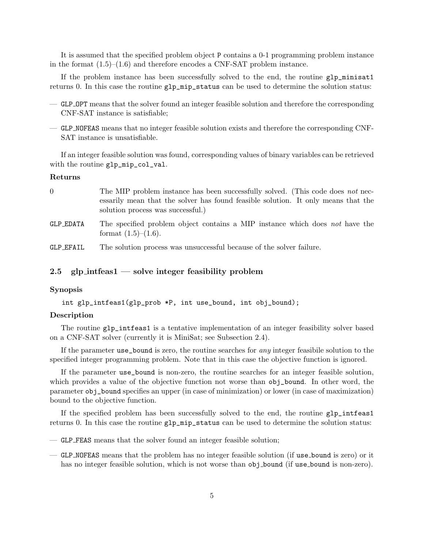It is assumed that the specified problem object P contains a 0-1 programming problem instance in the format  $(1.5)$ – $(1.6)$  and therefore encodes a CNF-SAT problem instance.

If the problem instance has been successfully solved to the end, the routine glp\_minisat1 returns 0. In this case the routine glp\_mip\_status can be used to determine the solution status:

- GLP OPT means that the solver found an integer feasible solution and therefore the corresponding CNF-SAT instance is satisfiable;
- GLP NOFEAS means that no integer feasible solution exists and therefore the corresponding CNF-SAT instance is unsatisfiable.

If an integer feasible solution was found, corresponding values of binary variables can be retrieved with the routine  $glp_mip_col_val$ .

#### **Returns**

| 0         | The MIP problem instance has been successfully solved. (This code does not nec-                                        |
|-----------|------------------------------------------------------------------------------------------------------------------------|
|           | essarily mean that the solver has found feasible solution. It only means that the<br>solution process was successful.) |
| GLP_EDATA | The specified problem object contains a MIP instance which does not have the<br>format $(1.5)$ – $(1.6)$ .             |

GLP EFAIL The solution process was unsuccessful because of the solver failure.

## **2.5 glp intfeas1 — solve integer feasibility problem**

#### **Synopsis**

int glp\_intfeas1(glp\_prob \*P, int use\_bound, int obj\_bound);

## **Description**

The routine glp\_intfeas1 is a tentative implementation of an integer feasibility solver based on a CNF-SAT solver (currently it is MiniSat; see Subsection 2.4).

If the parameter use\_bound is zero, the routine searches for *any* integer feasibile solution to the specified integer programming problem. Note that in this case the objective function is ignored.

If the parameter use\_bound is non-zero, the routine searches for an integer feasible solution, which provides a value of the objective function not worse than  $obj\_bound$ . In other word, the parameter obj\_bound specifies an upper (in case of minimization) or lower (in case of maximization) bound to the objective function.

If the specified problem has been successfully solved to the end, the routine glp\_intfeas1 returns 0. In this case the routine glp\_mip\_status can be used to determine the solution status:

- GLP FEAS means that the solver found an integer feasible solution;
- GLP NOFEAS means that the problem has no integer feasible solution (if use bound is zero) or it has no integer feasible solution, which is not worse than  $obj\_bound$  (if use bound is non-zero).